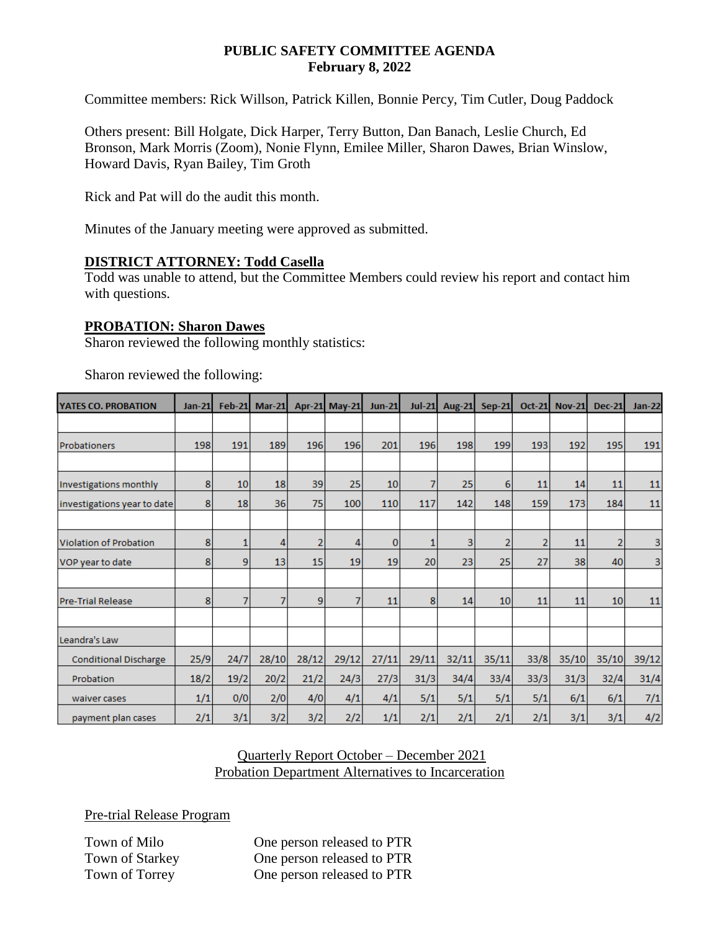#### **PUBLIC SAFETY COMMITTEE AGENDA February 8, 2022**

Committee members: Rick Willson, Patrick Killen, Bonnie Percy, Tim Cutler, Doug Paddock

Others present: Bill Holgate, Dick Harper, Terry Button, Dan Banach, Leslie Church, Ed Bronson, Mark Morris (Zoom), Nonie Flynn, Emilee Miller, Sharon Dawes, Brian Winslow, Howard Davis, Ryan Bailey, Tim Groth

Rick and Pat will do the audit this month.

Minutes of the January meeting were approved as submitted.

### **DISTRICT ATTORNEY: Todd Casella**

Todd was unable to attend, but the Committee Members could review his report and contact him with questions.

### **PROBATION: Sharon Dawes**

Sharon reviewed the following monthly statistics:

| <b>YATES CO. PROBATION</b>   | $Jan-21$ | <b>Feb-21</b>   | $Mar-21$ |                | Apr-21 May-21 | <b>Jun-21</b>   | $Jul-21$ | <b>Aug-21</b> | <b>Sep-21</b>  | <b>Oct-21</b>  | <b>Nov-21</b> | <b>Dec-21</b>  | <b>Jan-22</b> |
|------------------------------|----------|-----------------|----------|----------------|---------------|-----------------|----------|---------------|----------------|----------------|---------------|----------------|---------------|
|                              |          |                 |          |                |               |                 |          |               |                |                |               |                |               |
| Probationers                 | 198      | 191             | 189      | 196            | 196           | 201             | 196      | 198           | 199            | 193            | 192           | 195            | 191           |
|                              |          |                 |          |                |               |                 |          |               |                |                |               |                |               |
| Investigations monthly       | 8        | 10 <sup>1</sup> | 18       | 39             | 25            | 10 <sup>1</sup> | 7        | 25            | 6              | 11             | 14            | 11             | 11            |
| investigations year to date  | 8        | 18              | 36       | 75             | 100           | 110             | 117      | 142           | 148            | 159            | 173           | 184            | 11            |
|                              |          |                 |          |                |               |                 |          |               |                |                |               |                |               |
| Violation of Probation       | 8        |                 | 4        | $\overline{2}$ | 4             | $\mathbf{0}$    | 1        | 3             | $\overline{2}$ | $\overline{2}$ | 11            | $\overline{2}$ | 3             |
| VOP year to date             | 8        | 9               | 13       | 15             | 19            | 19              | 20       | 23            | 25             | 27             | 38            | 40             | 3             |
|                              |          |                 |          |                |               |                 |          |               |                |                |               |                |               |
| <b>Pre-Trial Release</b>     | 8        | 7               | 7        | 9              | 7             | 11              | 8        | 14            | 10             | 11             | 11            | 10             | 11            |
|                              |          |                 |          |                |               |                 |          |               |                |                |               |                |               |
| Leandra's Law                |          |                 |          |                |               |                 |          |               |                |                |               |                |               |
| <b>Conditional Discharge</b> | 25/9     | 24/7            | 28/10    | 28/12          | 29/12         | 27/11           | 29/11    | 32/11         | 35/11          | 33/8           | 35/10         | 35/10          | 39/12         |
| Probation                    | 18/2     | 19/2            | 20/2     | 21/2           | 24/3          | 27/3            | 31/3     | 34/4          | 33/4           | 33/3           | 31/3          | 32/4           | 31/4          |
| waiver cases                 | 1/1      | 0/0             | 2/0      | 4/0            | 4/1           | 4/1             | 5/1      | 5/1           | 5/1            | 5/1            | 6/1           | 6/1            | 7/1           |
| payment plan cases           | 2/1      | 3/1             | 3/2      | 3/2            | 2/2           | 1/1             | 2/1      | 2/1           | 2/1            | 2/1            | 3/1           | 3/1            | 4/2           |

Sharon reviewed the following:

### Quarterly Report October – December 2021 Probation Department Alternatives to Incarceration

Pre-trial Release Program

Town of Milo **One person released to PTR** Town of Starkey **One person released to PTR** Town of Torrey **One person released to PTR**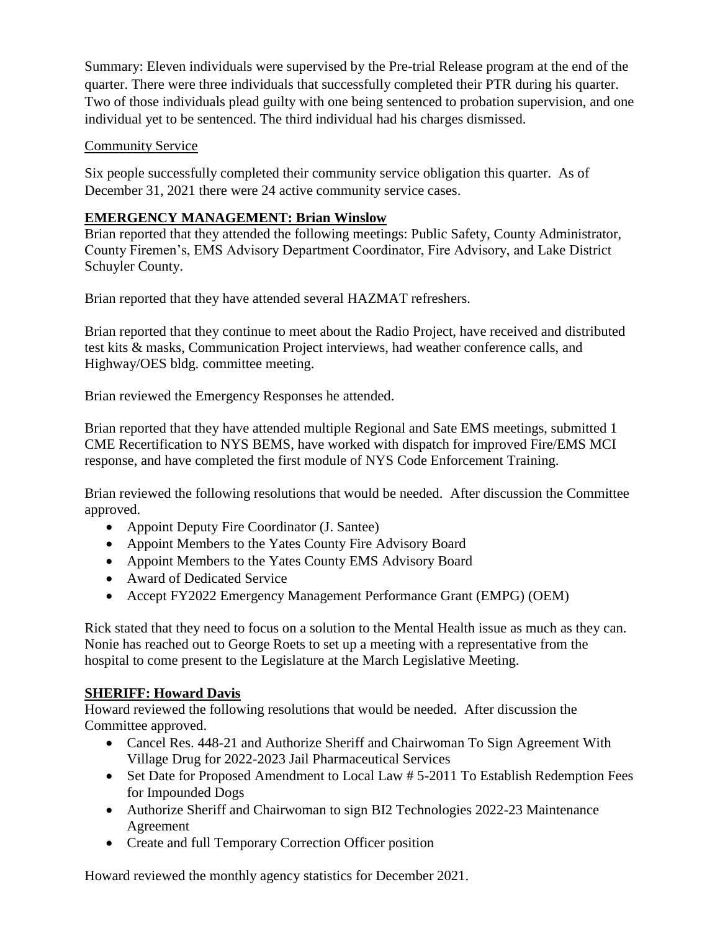Summary: Eleven individuals were supervised by the Pre-trial Release program at the end of the quarter. There were three individuals that successfully completed their PTR during his quarter. Two of those individuals plead guilty with one being sentenced to probation supervision, and one individual yet to be sentenced. The third individual had his charges dismissed.

## Community Service

Six people successfully completed their community service obligation this quarter. As of December 31, 2021 there were 24 active community service cases.

# **EMERGENCY MANAGEMENT: Brian Winslow**

Brian reported that they attended the following meetings: Public Safety, County Administrator, County Firemen's, EMS Advisory Department Coordinator, Fire Advisory, and Lake District Schuyler County.

Brian reported that they have attended several HAZMAT refreshers.

Brian reported that they continue to meet about the Radio Project, have received and distributed test kits & masks, Communication Project interviews, had weather conference calls, and Highway/OES bldg. committee meeting.

Brian reviewed the Emergency Responses he attended.

Brian reported that they have attended multiple Regional and Sate EMS meetings, submitted 1 CME Recertification to NYS BEMS, have worked with dispatch for improved Fire/EMS MCI response, and have completed the first module of NYS Code Enforcement Training.

Brian reviewed the following resolutions that would be needed. After discussion the Committee approved.

- Appoint Deputy Fire Coordinator (J. Santee)
- Appoint Members to the Yates County Fire Advisory Board
- Appoint Members to the Yates County EMS Advisory Board
- Award of Dedicated Service
- Accept FY2022 Emergency Management Performance Grant (EMPG) (OEM)

Rick stated that they need to focus on a solution to the Mental Health issue as much as they can. Nonie has reached out to George Roets to set up a meeting with a representative from the hospital to come present to the Legislature at the March Legislative Meeting.

### **SHERIFF: Howard Davis**

Howard reviewed the following resolutions that would be needed. After discussion the Committee approved.

- Cancel Res. 448-21 and Authorize Sheriff and Chairwoman To Sign Agreement With Village Drug for 2022-2023 Jail Pharmaceutical Services
- Set Date for Proposed Amendment to Local Law # 5-2011 To Establish Redemption Fees for Impounded Dogs
- Authorize Sheriff and Chairwoman to sign BI2 Technologies 2022-23 Maintenance Agreement
- Create and full Temporary Correction Officer position

Howard reviewed the monthly agency statistics for December 2021.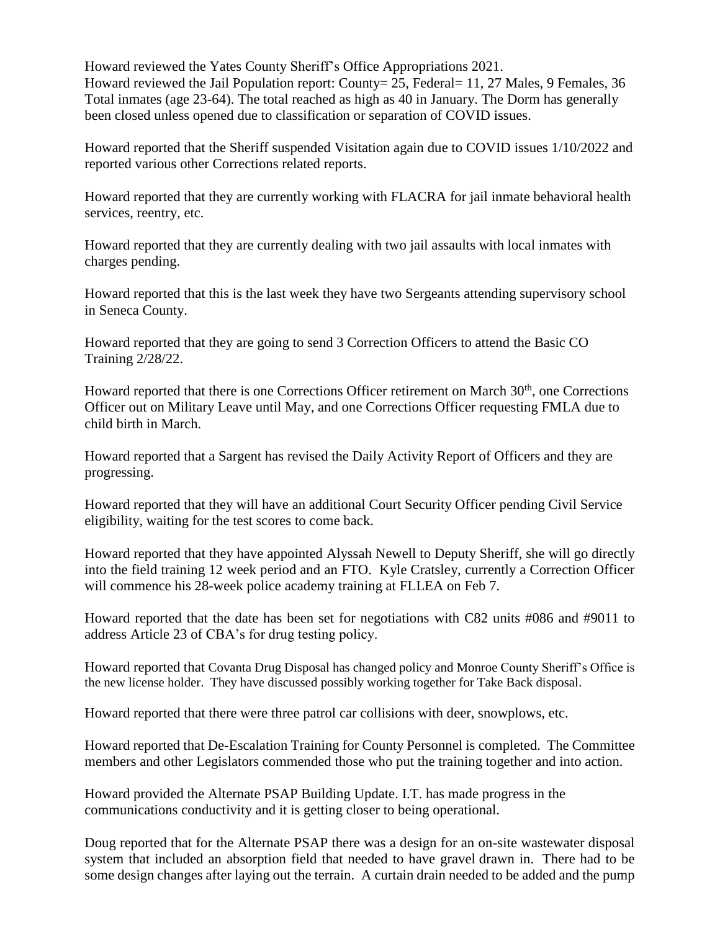Howard reviewed the Yates County Sheriff's Office Appropriations 2021. Howard reviewed the Jail Population report: County = 25, Federal = 11, 27 Males, 9 Females, 36 Total inmates (age 23-64). The total reached as high as 40 in January. The Dorm has generally been closed unless opened due to classification or separation of COVID issues.

Howard reported that the Sheriff suspended Visitation again due to COVID issues 1/10/2022 and reported various other Corrections related reports.

Howard reported that they are currently working with FLACRA for jail inmate behavioral health services, reentry, etc.

Howard reported that they are currently dealing with two jail assaults with local inmates with charges pending.

Howard reported that this is the last week they have two Sergeants attending supervisory school in Seneca County.

Howard reported that they are going to send 3 Correction Officers to attend the Basic CO Training 2/28/22.

Howard reported that there is one Corrections Officer retirement on March  $30<sup>th</sup>$ , one Corrections Officer out on Military Leave until May, and one Corrections Officer requesting FMLA due to child birth in March.

Howard reported that a Sargent has revised the Daily Activity Report of Officers and they are progressing.

Howard reported that they will have an additional Court Security Officer pending Civil Service eligibility, waiting for the test scores to come back.

Howard reported that they have appointed Alyssah Newell to Deputy Sheriff, she will go directly into the field training 12 week period and an FTO. Kyle Cratsley, currently a Correction Officer will commence his 28-week police academy training at FLLEA on Feb 7.

Howard reported that the date has been set for negotiations with C82 units #086 and #9011 to address Article 23 of CBA's for drug testing policy.

Howard reported that Covanta Drug Disposal has changed policy and Monroe County Sheriff's Office is the new license holder. They have discussed possibly working together for Take Back disposal.

Howard reported that there were three patrol car collisions with deer, snowplows, etc.

Howard reported that De-Escalation Training for County Personnel is completed. The Committee members and other Legislators commended those who put the training together and into action.

Howard provided the Alternate PSAP Building Update. I.T. has made progress in the communications conductivity and it is getting closer to being operational.

Doug reported that for the Alternate PSAP there was a design for an on-site wastewater disposal system that included an absorption field that needed to have gravel drawn in. There had to be some design changes after laying out the terrain. A curtain drain needed to be added and the pump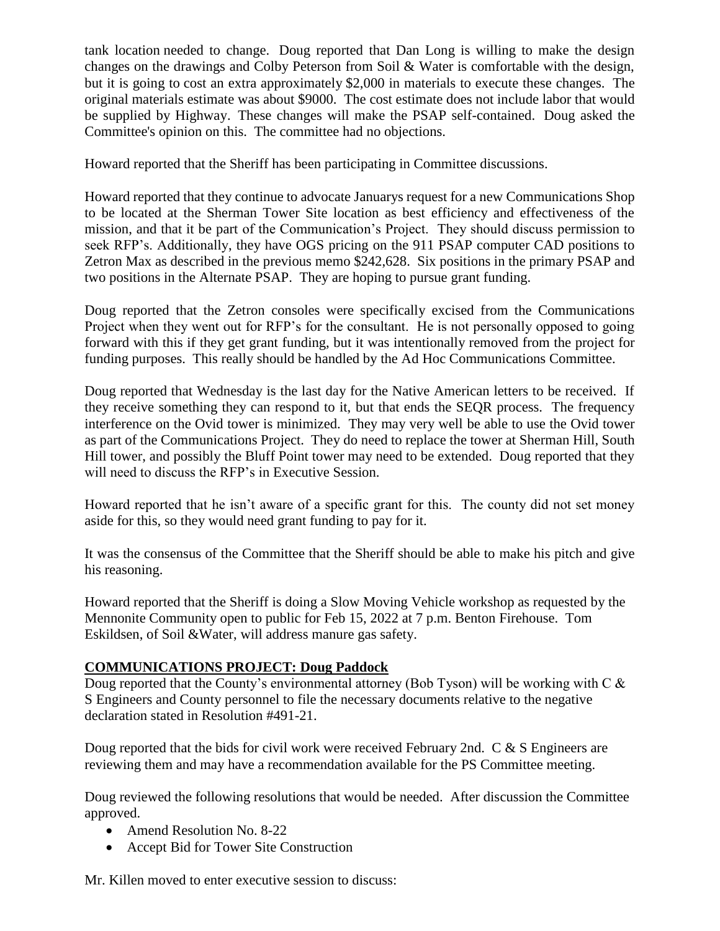tank location needed to change. Doug reported that Dan Long is willing to make the design changes on the drawings and Colby Peterson from Soil & Water is comfortable with the design, but it is going to cost an extra approximately \$2,000 in materials to execute these changes. The original materials estimate was about \$9000. The cost estimate does not include labor that would be supplied by Highway. These changes will make the PSAP self-contained. Doug asked the Committee's opinion on this. The committee had no objections.

Howard reported that the Sheriff has been participating in Committee discussions.

Howard reported that they continue to advocate Januarys request for a new Communications Shop to be located at the Sherman Tower Site location as best efficiency and effectiveness of the mission, and that it be part of the Communication's Project. They should discuss permission to seek RFP's. Additionally, they have OGS pricing on the 911 PSAP computer CAD positions to Zetron Max as described in the previous memo \$242,628. Six positions in the primary PSAP and two positions in the Alternate PSAP. They are hoping to pursue grant funding.

Doug reported that the Zetron consoles were specifically excised from the Communications Project when they went out for RFP's for the consultant. He is not personally opposed to going forward with this if they get grant funding, but it was intentionally removed from the project for funding purposes. This really should be handled by the Ad Hoc Communications Committee.

Doug reported that Wednesday is the last day for the Native American letters to be received. If they receive something they can respond to it, but that ends the SEQR process. The frequency interference on the Ovid tower is minimized. They may very well be able to use the Ovid tower as part of the Communications Project. They do need to replace the tower at Sherman Hill, South Hill tower, and possibly the Bluff Point tower may need to be extended. Doug reported that they will need to discuss the RFP's in Executive Session.

Howard reported that he isn't aware of a specific grant for this. The county did not set money aside for this, so they would need grant funding to pay for it.

It was the consensus of the Committee that the Sheriff should be able to make his pitch and give his reasoning.

Howard reported that the Sheriff is doing a Slow Moving Vehicle workshop as requested by the Mennonite Community open to public for Feb 15, 2022 at 7 p.m. Benton Firehouse. Tom Eskildsen, of Soil &Water, will address manure gas safety.

### **COMMUNICATIONS PROJECT: Doug Paddock**

Doug reported that the County's environmental attorney (Bob Tyson) will be working with C & S Engineers and County personnel to file the necessary documents relative to the negative declaration stated in Resolution #491-21.

Doug reported that the bids for civil work were received February 2nd. C & S Engineers are reviewing them and may have a recommendation available for the PS Committee meeting.

Doug reviewed the following resolutions that would be needed. After discussion the Committee approved.

- Amend Resolution No. 8-22
- Accept Bid for Tower Site Construction

Mr. Killen moved to enter executive session to discuss: